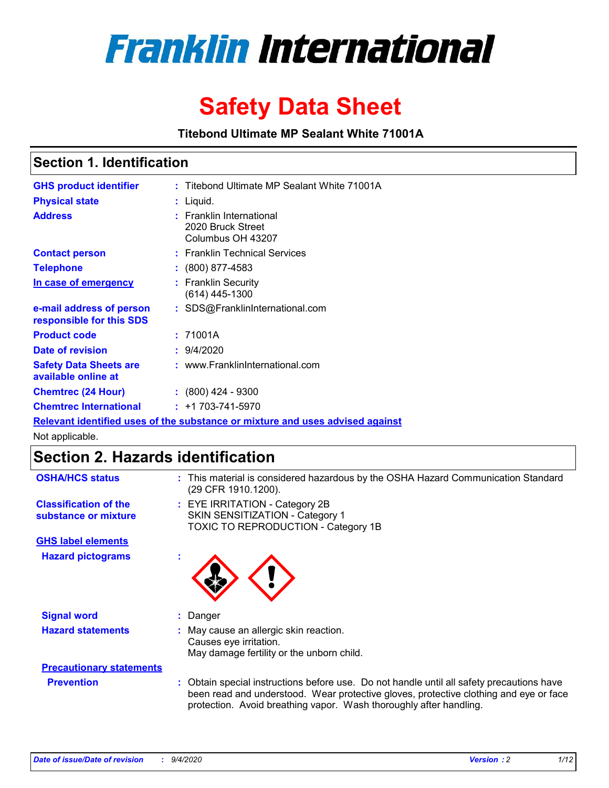

# **Safety Data Sheet**

**Titebond Ultimate MP Sealant White 71001A**

### **Section 1. Identification**

| <b>GHS product identifier</b>                        | : Titebond Ultimate MP Sealant White 71001A                                   |
|------------------------------------------------------|-------------------------------------------------------------------------------|
| <b>Physical state</b>                                | : Liquid.                                                                     |
| <b>Address</b>                                       | : Franklin International<br>2020 Bruck Street<br>Columbus OH 43207            |
| <b>Contact person</b>                                | : Franklin Technical Services                                                 |
| <b>Telephone</b>                                     | $\colon$ (800) 877-4583                                                       |
| In case of emergency                                 | : Franklin Security<br>$(614)$ 445-1300                                       |
| e-mail address of person<br>responsible for this SDS | : SDS@FranklinInternational.com                                               |
| <b>Product code</b>                                  | : 71001A                                                                      |
| Date of revision                                     | : 9/4/2020                                                                    |
| <b>Safety Data Sheets are</b><br>available online at | : www.FranklinInternational.com                                               |
| <b>Chemtrec (24 Hour)</b>                            | $: (800)$ 424 - 9300                                                          |
| <b>Chemtrec International</b>                        | $: +1703 - 741 - 5970$                                                        |
|                                                      | Relevant identified uses of the substance or mixture and uses advised against |

Not applicable.

## **Section 2. Hazards identification**

| <b>OSHA/HCS status</b>                               |    | : This material is considered hazardous by the OSHA Hazard Communication Standard<br>(29 CFR 1910.1200).                                                                                                                                                 |
|------------------------------------------------------|----|----------------------------------------------------------------------------------------------------------------------------------------------------------------------------------------------------------------------------------------------------------|
| <b>Classification of the</b><br>substance or mixture |    | : EYE IRRITATION - Category 2B<br>SKIN SENSITIZATION - Category 1<br>TOXIC TO REPRODUCTION - Category 1B                                                                                                                                                 |
| <b>GHS label elements</b>                            |    |                                                                                                                                                                                                                                                          |
| <b>Hazard pictograms</b>                             | ×. |                                                                                                                                                                                                                                                          |
| <b>Signal word</b>                                   | ÷. | Danger                                                                                                                                                                                                                                                   |
| <b>Hazard statements</b>                             |    | May cause an allergic skin reaction.<br>Causes eye irritation.<br>May damage fertility or the unborn child.                                                                                                                                              |
| <b>Precautionary statements</b>                      |    |                                                                                                                                                                                                                                                          |
| <b>Prevention</b>                                    |    | : Obtain special instructions before use. Do not handle until all safety precautions have<br>been read and understood. Wear protective gloves, protective clothing and eye or face<br>protection. Avoid breathing vapor. Wash thoroughly after handling. |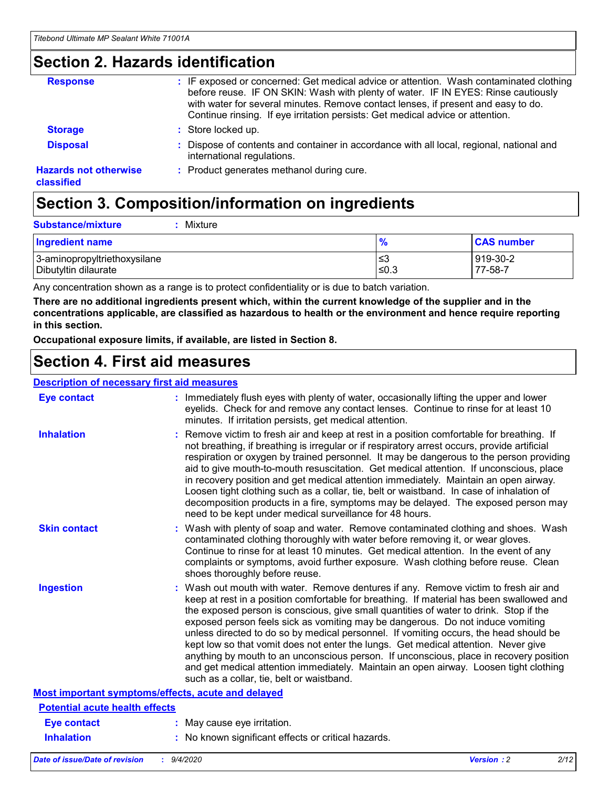### **Section 2. Hazards identification**

| <b>Response</b>                            | : IF exposed or concerned: Get medical advice or attention. Wash contaminated clothing<br>before reuse. IF ON SKIN: Wash with plenty of water. IF IN EYES: Rinse cautiously<br>with water for several minutes. Remove contact lenses, if present and easy to do.<br>Continue rinsing. If eye irritation persists: Get medical advice or attention. |
|--------------------------------------------|----------------------------------------------------------------------------------------------------------------------------------------------------------------------------------------------------------------------------------------------------------------------------------------------------------------------------------------------------|
| <b>Storage</b>                             | : Store locked up.                                                                                                                                                                                                                                                                                                                                 |
| <b>Disposal</b>                            | : Dispose of contents and container in accordance with all local, regional, national and<br>international regulations.                                                                                                                                                                                                                             |
| <b>Hazards not otherwise</b><br>classified | : Product generates methanol during cure.                                                                                                                                                                                                                                                                                                          |

# **Section 3. Composition/information on ingredients**

| <b>Substance/mixture</b> |  | $:$ Mixture |
|--------------------------|--|-------------|
|--------------------------|--|-------------|

| <b>Ingredient name</b>       | $\mathbf{0}$<br>70 | <b>CAS number</b> |
|------------------------------|--------------------|-------------------|
| 3-aminopropyltriethoxysilane | צ≥                 | 919-30-2          |
| Dibutyltin dilaurate         | ∣≤0.3              | 77-58-7           |

Any concentration shown as a range is to protect confidentiality or is due to batch variation.

**There are no additional ingredients present which, within the current knowledge of the supplier and in the concentrations applicable, are classified as hazardous to health or the environment and hence require reporting in this section.**

**Occupational exposure limits, if available, are listed in Section 8.**

### **Section 4. First aid measures**

| <b>Description of necessary first aid measures</b> |                                                                                                                                                                                                                                                                                                                                                                                                                                                                                                                                                                                                                                                                                                                                                                           |
|----------------------------------------------------|---------------------------------------------------------------------------------------------------------------------------------------------------------------------------------------------------------------------------------------------------------------------------------------------------------------------------------------------------------------------------------------------------------------------------------------------------------------------------------------------------------------------------------------------------------------------------------------------------------------------------------------------------------------------------------------------------------------------------------------------------------------------------|
| <b>Eye contact</b>                                 | : Immediately flush eyes with plenty of water, occasionally lifting the upper and lower<br>eyelids. Check for and remove any contact lenses. Continue to rinse for at least 10<br>minutes. If irritation persists, get medical attention.                                                                                                                                                                                                                                                                                                                                                                                                                                                                                                                                 |
| <b>Inhalation</b>                                  | : Remove victim to fresh air and keep at rest in a position comfortable for breathing. If<br>not breathing, if breathing is irregular or if respiratory arrest occurs, provide artificial<br>respiration or oxygen by trained personnel. It may be dangerous to the person providing<br>aid to give mouth-to-mouth resuscitation. Get medical attention. If unconscious, place<br>in recovery position and get medical attention immediately. Maintain an open airway.<br>Loosen tight clothing such as a collar, tie, belt or waistband. In case of inhalation of<br>decomposition products in a fire, symptoms may be delayed. The exposed person may<br>need to be kept under medical surveillance for 48 hours.                                                       |
| <b>Skin contact</b>                                | : Wash with plenty of soap and water. Remove contaminated clothing and shoes. Wash<br>contaminated clothing thoroughly with water before removing it, or wear gloves.<br>Continue to rinse for at least 10 minutes. Get medical attention. In the event of any<br>complaints or symptoms, avoid further exposure. Wash clothing before reuse. Clean<br>shoes thoroughly before reuse.                                                                                                                                                                                                                                                                                                                                                                                     |
| <b>Ingestion</b>                                   | : Wash out mouth with water. Remove dentures if any. Remove victim to fresh air and<br>keep at rest in a position comfortable for breathing. If material has been swallowed and<br>the exposed person is conscious, give small quantities of water to drink. Stop if the<br>exposed person feels sick as vomiting may be dangerous. Do not induce vomiting<br>unless directed to do so by medical personnel. If vomiting occurs, the head should be<br>kept low so that vomit does not enter the lungs. Get medical attention. Never give<br>anything by mouth to an unconscious person. If unconscious, place in recovery position<br>and get medical attention immediately. Maintain an open airway. Loosen tight clothing<br>such as a collar, tie, belt or waistband. |
| Most important symptoms/effects, acute and delayed |                                                                                                                                                                                                                                                                                                                                                                                                                                                                                                                                                                                                                                                                                                                                                                           |
| <b>Potential acute health effects</b>              |                                                                                                                                                                                                                                                                                                                                                                                                                                                                                                                                                                                                                                                                                                                                                                           |
| <b>Eye contact</b>                                 | : May cause eye irritation.                                                                                                                                                                                                                                                                                                                                                                                                                                                                                                                                                                                                                                                                                                                                               |
| <b>Inhalation</b>                                  | : No known significant effects or critical hazards.                                                                                                                                                                                                                                                                                                                                                                                                                                                                                                                                                                                                                                                                                                                       |
|                                                    |                                                                                                                                                                                                                                                                                                                                                                                                                                                                                                                                                                                                                                                                                                                                                                           |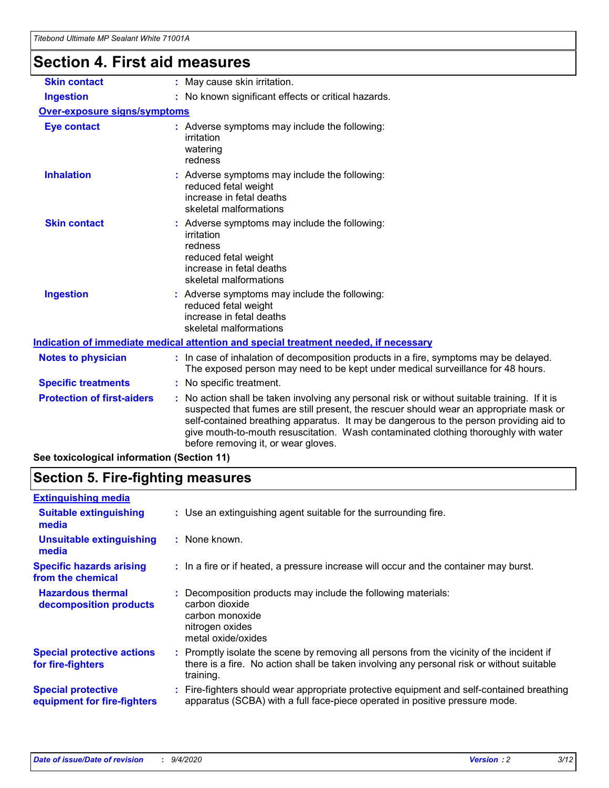# **Section 4. First aid measures**

| <b>Skin contact</b>                 | : May cause skin irritation.                                                                                                                                                                                                                                                                                                                                                                                    |
|-------------------------------------|-----------------------------------------------------------------------------------------------------------------------------------------------------------------------------------------------------------------------------------------------------------------------------------------------------------------------------------------------------------------------------------------------------------------|
| <b>Ingestion</b>                    | : No known significant effects or critical hazards.                                                                                                                                                                                                                                                                                                                                                             |
| <b>Over-exposure signs/symptoms</b> |                                                                                                                                                                                                                                                                                                                                                                                                                 |
| <b>Eye contact</b>                  | : Adverse symptoms may include the following:<br>irritation<br>watering<br>redness                                                                                                                                                                                                                                                                                                                              |
| <b>Inhalation</b>                   | : Adverse symptoms may include the following:<br>reduced fetal weight<br>increase in fetal deaths<br>skeletal malformations                                                                                                                                                                                                                                                                                     |
| <b>Skin contact</b>                 | : Adverse symptoms may include the following:<br>irritation<br>redness<br>reduced fetal weight<br>increase in fetal deaths<br>skeletal malformations                                                                                                                                                                                                                                                            |
| <b>Ingestion</b>                    | : Adverse symptoms may include the following:<br>reduced fetal weight<br>increase in fetal deaths<br>skeletal malformations                                                                                                                                                                                                                                                                                     |
|                                     | <u>Indication of immediate medical attention and special treatment needed, if necessary</u>                                                                                                                                                                                                                                                                                                                     |
| <b>Notes to physician</b>           | : In case of inhalation of decomposition products in a fire, symptoms may be delayed.<br>The exposed person may need to be kept under medical surveillance for 48 hours.                                                                                                                                                                                                                                        |
| <b>Specific treatments</b>          | : No specific treatment.                                                                                                                                                                                                                                                                                                                                                                                        |
| <b>Protection of first-aiders</b>   | : No action shall be taken involving any personal risk or without suitable training. If it is<br>suspected that fumes are still present, the rescuer should wear an appropriate mask or<br>self-contained breathing apparatus. It may be dangerous to the person providing aid to<br>give mouth-to-mouth resuscitation. Wash contaminated clothing thoroughly with water<br>before removing it, or wear gloves. |
|                                     |                                                                                                                                                                                                                                                                                                                                                                                                                 |

**See toxicological information (Section 11)**

### **Section 5. Fire-fighting measures**

| <b>Extinguishing media</b>                               |                                                                                                                                                                                                     |
|----------------------------------------------------------|-----------------------------------------------------------------------------------------------------------------------------------------------------------------------------------------------------|
| <b>Suitable extinguishing</b><br>media                   | : Use an extinguishing agent suitable for the surrounding fire.                                                                                                                                     |
| <b>Unsuitable extinguishing</b><br>media                 | $:$ None known.                                                                                                                                                                                     |
| <b>Specific hazards arising</b><br>from the chemical     | : In a fire or if heated, a pressure increase will occur and the container may burst.                                                                                                               |
| <b>Hazardous thermal</b><br>decomposition products       | Decomposition products may include the following materials:<br>carbon dioxide<br>carbon monoxide<br>nitrogen oxides<br>metal oxide/oxides                                                           |
| <b>Special protective actions</b><br>for fire-fighters   | : Promptly isolate the scene by removing all persons from the vicinity of the incident if<br>there is a fire. No action shall be taken involving any personal risk or without suitable<br>training. |
| <b>Special protective</b><br>equipment for fire-fighters | : Fire-fighters should wear appropriate protective equipment and self-contained breathing<br>apparatus (SCBA) with a full face-piece operated in positive pressure mode.                            |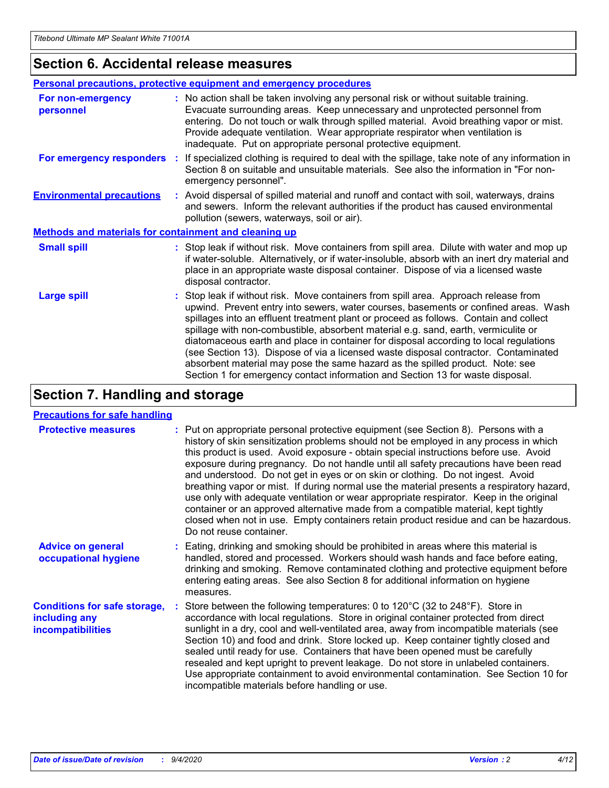### **Section 6. Accidental release measures**

|                                                              | <b>Personal precautions, protective equipment and emergency procedures</b>                                                                                                                                                                                                                                                                                                                                                                                                                                                                                                                                                                                                                                   |
|--------------------------------------------------------------|--------------------------------------------------------------------------------------------------------------------------------------------------------------------------------------------------------------------------------------------------------------------------------------------------------------------------------------------------------------------------------------------------------------------------------------------------------------------------------------------------------------------------------------------------------------------------------------------------------------------------------------------------------------------------------------------------------------|
| For non-emergency<br>personnel                               | : No action shall be taken involving any personal risk or without suitable training.<br>Evacuate surrounding areas. Keep unnecessary and unprotected personnel from<br>entering. Do not touch or walk through spilled material. Avoid breathing vapor or mist.<br>Provide adequate ventilation. Wear appropriate respirator when ventilation is<br>inadequate. Put on appropriate personal protective equipment.                                                                                                                                                                                                                                                                                             |
| For emergency responders                                     | : If specialized clothing is required to deal with the spillage, take note of any information in<br>Section 8 on suitable and unsuitable materials. See also the information in "For non-<br>emergency personnel".                                                                                                                                                                                                                                                                                                                                                                                                                                                                                           |
| <b>Environmental precautions</b>                             | : Avoid dispersal of spilled material and runoff and contact with soil, waterways, drains<br>and sewers. Inform the relevant authorities if the product has caused environmental<br>pollution (sewers, waterways, soil or air).                                                                                                                                                                                                                                                                                                                                                                                                                                                                              |
| <b>Methods and materials for containment and cleaning up</b> |                                                                                                                                                                                                                                                                                                                                                                                                                                                                                                                                                                                                                                                                                                              |
| <b>Small spill</b>                                           | : Stop leak if without risk. Move containers from spill area. Dilute with water and mop up<br>if water-soluble. Alternatively, or if water-insoluble, absorb with an inert dry material and<br>place in an appropriate waste disposal container. Dispose of via a licensed waste<br>disposal contractor.                                                                                                                                                                                                                                                                                                                                                                                                     |
| <b>Large spill</b>                                           | : Stop leak if without risk. Move containers from spill area. Approach release from<br>upwind. Prevent entry into sewers, water courses, basements or confined areas. Wash<br>spillages into an effluent treatment plant or proceed as follows. Contain and collect<br>spillage with non-combustible, absorbent material e.g. sand, earth, vermiculite or<br>diatomaceous earth and place in container for disposal according to local regulations<br>(see Section 13). Dispose of via a licensed waste disposal contractor. Contaminated<br>absorbent material may pose the same hazard as the spilled product. Note: see<br>Section 1 for emergency contact information and Section 13 for waste disposal. |

### **Section 7. Handling and storage**

#### **Precautions for safe handling**

| <b>Protective measures</b>                                                       | : Put on appropriate personal protective equipment (see Section 8). Persons with a<br>history of skin sensitization problems should not be employed in any process in which<br>this product is used. Avoid exposure - obtain special instructions before use. Avoid<br>exposure during pregnancy. Do not handle until all safety precautions have been read<br>and understood. Do not get in eyes or on skin or clothing. Do not ingest. Avoid<br>breathing vapor or mist. If during normal use the material presents a respiratory hazard,<br>use only with adequate ventilation or wear appropriate respirator. Keep in the original<br>container or an approved alternative made from a compatible material, kept tightly<br>closed when not in use. Empty containers retain product residue and can be hazardous.<br>Do not reuse container. |
|----------------------------------------------------------------------------------|--------------------------------------------------------------------------------------------------------------------------------------------------------------------------------------------------------------------------------------------------------------------------------------------------------------------------------------------------------------------------------------------------------------------------------------------------------------------------------------------------------------------------------------------------------------------------------------------------------------------------------------------------------------------------------------------------------------------------------------------------------------------------------------------------------------------------------------------------|
| <b>Advice on general</b><br>occupational hygiene                                 | : Eating, drinking and smoking should be prohibited in areas where this material is<br>handled, stored and processed. Workers should wash hands and face before eating,<br>drinking and smoking. Remove contaminated clothing and protective equipment before<br>entering eating areas. See also Section 8 for additional information on hygiene<br>measures.                                                                                                                                                                                                                                                                                                                                                                                                                                                                                    |
| <b>Conditions for safe storage,</b><br>including any<br><i>incompatibilities</i> | Store between the following temperatures: 0 to 120°C (32 to 248°F). Store in<br>accordance with local regulations. Store in original container protected from direct<br>sunlight in a dry, cool and well-ventilated area, away from incompatible materials (see<br>Section 10) and food and drink. Store locked up. Keep container tightly closed and<br>sealed until ready for use. Containers that have been opened must be carefully<br>resealed and kept upright to prevent leakage. Do not store in unlabeled containers.<br>Use appropriate containment to avoid environmental contamination. See Section 10 for<br>incompatible materials before handling or use.                                                                                                                                                                         |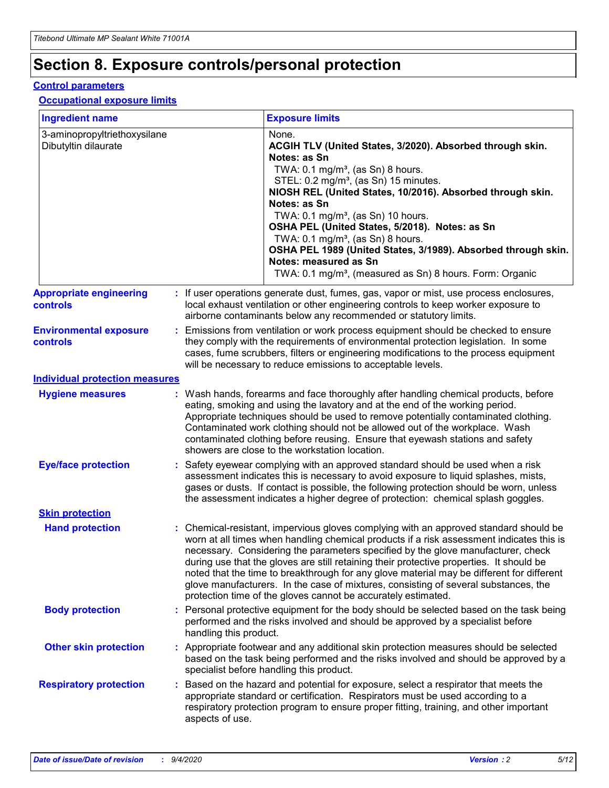# **Section 8. Exposure controls/personal protection**

#### **Control parameters**

#### **Occupational exposure limits**

| <b>Ingredient name</b>                               |    |                        | <b>Exposure limits</b>                                                                                                                                                                                                                                                                                                                                                                                                                                                                                                                                                                                                 |
|------------------------------------------------------|----|------------------------|------------------------------------------------------------------------------------------------------------------------------------------------------------------------------------------------------------------------------------------------------------------------------------------------------------------------------------------------------------------------------------------------------------------------------------------------------------------------------------------------------------------------------------------------------------------------------------------------------------------------|
| 3-aminopropyltriethoxysilane<br>Dibutyltin dilaurate |    |                        | None.<br>ACGIH TLV (United States, 3/2020). Absorbed through skin.<br>Notes: as Sn<br>TWA: $0.1 \text{ mg/m}^3$ , (as Sn) 8 hours.<br>STEL: 0.2 mg/m <sup>3</sup> , (as Sn) 15 minutes.<br>NIOSH REL (United States, 10/2016). Absorbed through skin.<br>Notes: as Sn<br>TWA: 0.1 mg/m <sup>3</sup> , (as Sn) 10 hours.<br>OSHA PEL (United States, 5/2018). Notes: as Sn<br>TWA: $0.1 \text{ mg/m}^3$ , (as Sn) 8 hours.<br>OSHA PEL 1989 (United States, 3/1989). Absorbed through skin.<br>Notes: measured as Sn<br>TWA: 0.1 mg/m <sup>3</sup> , (measured as Sn) 8 hours. Form: Organic                            |
| <b>Appropriate engineering</b><br>controls           |    |                        | : If user operations generate dust, fumes, gas, vapor or mist, use process enclosures,<br>local exhaust ventilation or other engineering controls to keep worker exposure to<br>airborne contaminants below any recommended or statutory limits.                                                                                                                                                                                                                                                                                                                                                                       |
| <b>Environmental exposure</b><br>controls            |    |                        | Emissions from ventilation or work process equipment should be checked to ensure<br>they comply with the requirements of environmental protection legislation. In some<br>cases, fume scrubbers, filters or engineering modifications to the process equipment<br>will be necessary to reduce emissions to acceptable levels.                                                                                                                                                                                                                                                                                          |
| <b>Individual protection measures</b>                |    |                        |                                                                                                                                                                                                                                                                                                                                                                                                                                                                                                                                                                                                                        |
| <b>Hygiene measures</b>                              |    |                        | : Wash hands, forearms and face thoroughly after handling chemical products, before<br>eating, smoking and using the lavatory and at the end of the working period.<br>Appropriate techniques should be used to remove potentially contaminated clothing.<br>Contaminated work clothing should not be allowed out of the workplace. Wash<br>contaminated clothing before reusing. Ensure that eyewash stations and safety<br>showers are close to the workstation location.                                                                                                                                            |
| <b>Eye/face protection</b>                           |    |                        | : Safety eyewear complying with an approved standard should be used when a risk<br>assessment indicates this is necessary to avoid exposure to liquid splashes, mists,<br>gases or dusts. If contact is possible, the following protection should be worn, unless<br>the assessment indicates a higher degree of protection: chemical splash goggles.                                                                                                                                                                                                                                                                  |
| <b>Skin protection</b>                               |    |                        |                                                                                                                                                                                                                                                                                                                                                                                                                                                                                                                                                                                                                        |
| <b>Hand protection</b>                               |    |                        | : Chemical-resistant, impervious gloves complying with an approved standard should be<br>worn at all times when handling chemical products if a risk assessment indicates this is<br>necessary. Considering the parameters specified by the glove manufacturer, check<br>during use that the gloves are still retaining their protective properties. It should be<br>noted that the time to breakthrough for any glove material may be different for different<br>glove manufacturers. In the case of mixtures, consisting of several substances, the<br>protection time of the gloves cannot be accurately estimated. |
| <b>Body protection</b>                               |    | handling this product. | Personal protective equipment for the body should be selected based on the task being<br>performed and the risks involved and should be approved by a specialist before                                                                                                                                                                                                                                                                                                                                                                                                                                                |
| <b>Other skin protection</b>                         |    |                        | : Appropriate footwear and any additional skin protection measures should be selected<br>based on the task being performed and the risks involved and should be approved by a<br>specialist before handling this product.                                                                                                                                                                                                                                                                                                                                                                                              |
| <b>Respiratory protection</b>                        | ÷. | aspects of use.        | Based on the hazard and potential for exposure, select a respirator that meets the<br>appropriate standard or certification. Respirators must be used according to a<br>respiratory protection program to ensure proper fitting, training, and other important                                                                                                                                                                                                                                                                                                                                                         |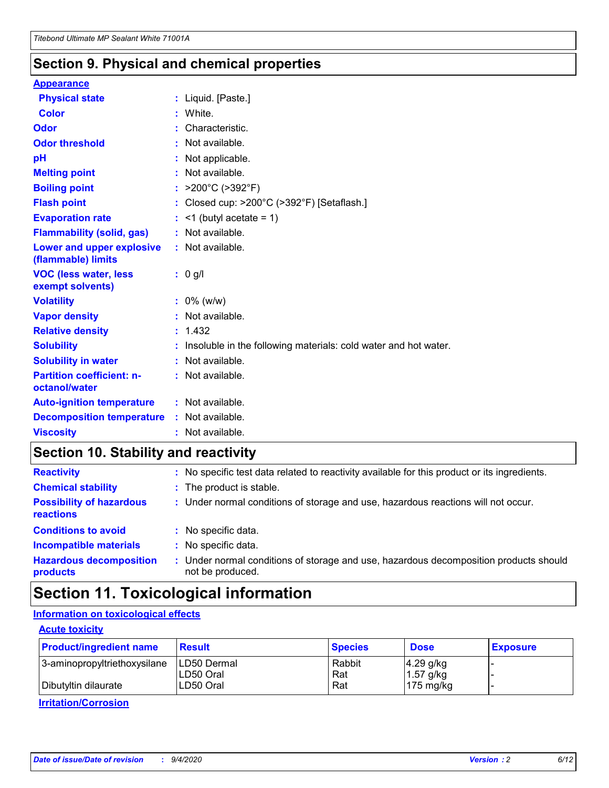### **Section 9. Physical and chemical properties**

#### **Appearance**

| <b>Physical state</b>                             | : Liquid. [Paste.]                                              |
|---------------------------------------------------|-----------------------------------------------------------------|
| Color                                             | White.                                                          |
| Odor                                              | : Characteristic.                                               |
| <b>Odor threshold</b>                             | $:$ Not available.                                              |
| рH                                                | : Not applicable.                                               |
| <b>Melting point</b>                              | : Not available.                                                |
| <b>Boiling point</b>                              | : $>200^{\circ}$ C ( $>392^{\circ}$ F)                          |
| <b>Flash point</b>                                | : Closed cup: >200°C (>392°F) [Setaflash.]                      |
| <b>Evaporation rate</b>                           | $:$ <1 (butyl acetate = 1)                                      |
| <b>Flammability (solid, gas)</b>                  | : Not available.                                                |
| Lower and upper explosive<br>(flammable) limits   | : Not available.                                                |
| <b>VOC (less water, less</b><br>exempt solvents)  | $: 0$ g/l                                                       |
| <b>Volatility</b>                                 | $: 0\%$ (w/w)                                                   |
|                                                   |                                                                 |
| <b>Vapor density</b>                              | : Not available.                                                |
| <b>Relative density</b>                           | : 1.432                                                         |
| <b>Solubility</b>                                 | Insoluble in the following materials: cold water and hot water. |
| <b>Solubility in water</b>                        | : Not available.                                                |
| <b>Partition coefficient: n-</b><br>octanol/water | $:$ Not available.                                              |
| <b>Auto-ignition temperature</b>                  | : Not available.                                                |
| <b>Decomposition temperature</b>                  | : Not available.                                                |

### **Section 10. Stability and reactivity**

| <b>Reactivity</b>                            | : No specific test data related to reactivity available for this product or its ingredients.              |
|----------------------------------------------|-----------------------------------------------------------------------------------------------------------|
| <b>Chemical stability</b>                    | : The product is stable.                                                                                  |
| <b>Possibility of hazardous</b><br>reactions | : Under normal conditions of storage and use, hazardous reactions will not occur.                         |
| <b>Conditions to avoid</b>                   | : No specific data.                                                                                       |
| <b>Incompatible materials</b>                | : No specific data.                                                                                       |
| <b>Hazardous decomposition</b><br>products   | : Under normal conditions of storage and use, hazardous decomposition products should<br>not be produced. |

### **Section 11. Toxicological information**

### **Information on toxicological effects**

#### **Acute toxicity**

| <b>Product/ingredient name</b> | <b>Result</b>           | <b>Species</b> | <b>Dose</b>                | <b>Exposure</b> |
|--------------------------------|-------------------------|----------------|----------------------------|-----------------|
| 3-aminopropyltriethoxysilane   | <b>ILD50 Dermal</b>     | Rabbit         | 4.29 g/kg                  |                 |
| Dibutyltin dilaurate           | ILD50 Oral<br>LD50 Oral | Rat<br>Rat     | $1.57$ g/kg<br>175 $mg/kg$ |                 |
|                                |                         |                |                            |                 |

**Irritation/Corrosion**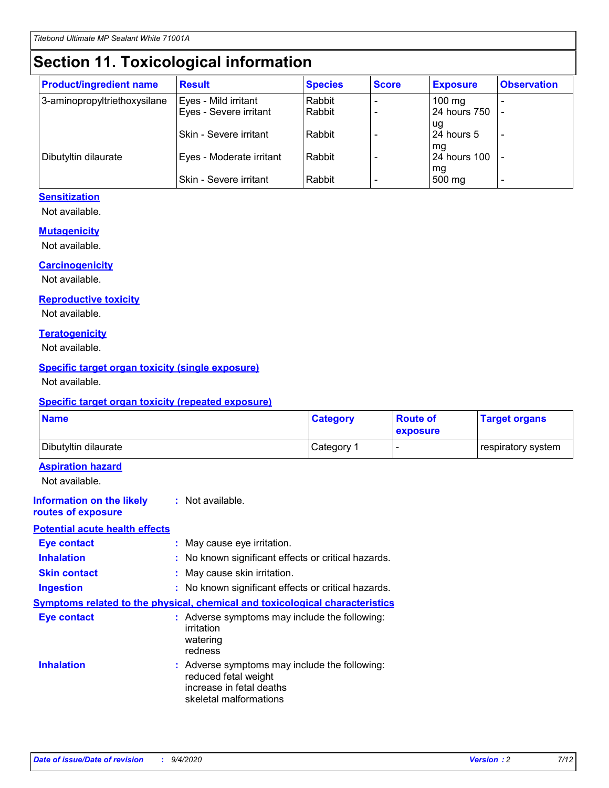# **Section 11. Toxicological information**

| <b>Product/ingredient name</b> | <b>Result</b>            | <b>Species</b> | <b>Score</b> | <b>Exposure</b>           | <b>Observation</b> |
|--------------------------------|--------------------------|----------------|--------------|---------------------------|--------------------|
| 3-aminopropyltriethoxysilane   | Eyes - Mild irritant     | Rabbit         |              | $100$ mg                  |                    |
|                                | Eyes - Severe irritant   | Rabbit         |              | 24 hours 750              |                    |
|                                |                          |                |              | ug                        |                    |
|                                | Skin - Severe irritant   | Rabbit         |              | 24 hours 5                | -                  |
| Dibutyltin dilaurate           | Eyes - Moderate irritant | Rabbit         |              | mq<br><b>24 hours 100</b> |                    |
|                                |                          |                |              | mg                        |                    |
|                                | Skin - Severe irritant   | Rabbit         |              | 500 mg                    |                    |

#### **Sensitization**

Not available.

#### **Mutagenicity**

Not available.

#### **Carcinogenicity**

Not available.

#### **Reproductive toxicity**

Not available.

#### **Teratogenicity**

Not available.

#### **Specific target organ toxicity (single exposure)**

Not available.

#### **Specific target organ toxicity (repeated exposure)**

| <b>Name</b>                                                                  |                                                                                                                             | <b>Category</b>                                     | <b>Route of</b><br>exposure  | <b>Target organs</b> |  |  |
|------------------------------------------------------------------------------|-----------------------------------------------------------------------------------------------------------------------------|-----------------------------------------------------|------------------------------|----------------------|--|--|
| Dibutyltin dilaurate                                                         |                                                                                                                             | Category 1                                          | $\qquad \qquad \blacksquare$ | respiratory system   |  |  |
| <b>Aspiration hazard</b><br>Not available.                                   |                                                                                                                             |                                                     |                              |                      |  |  |
| <b>Information on the likely</b><br>routes of exposure                       | : Not available.                                                                                                            |                                                     |                              |                      |  |  |
| <b>Potential acute health effects</b>                                        |                                                                                                                             |                                                     |                              |                      |  |  |
| <b>Eye contact</b>                                                           | : May cause eye irritation.                                                                                                 |                                                     |                              |                      |  |  |
| <b>Inhalation</b>                                                            |                                                                                                                             | : No known significant effects or critical hazards. |                              |                      |  |  |
| <b>Skin contact</b>                                                          |                                                                                                                             | : May cause skin irritation.                        |                              |                      |  |  |
| <b>Ingestion</b>                                                             |                                                                                                                             | : No known significant effects or critical hazards. |                              |                      |  |  |
| Symptoms related to the physical, chemical and toxicological characteristics |                                                                                                                             |                                                     |                              |                      |  |  |
| <b>Eye contact</b>                                                           | : Adverse symptoms may include the following:<br>irritation<br>watering<br>redness                                          |                                                     |                              |                      |  |  |
| <b>Inhalation</b>                                                            | : Adverse symptoms may include the following:<br>reduced fetal weight<br>increase in fetal deaths<br>skeletal malformations |                                                     |                              |                      |  |  |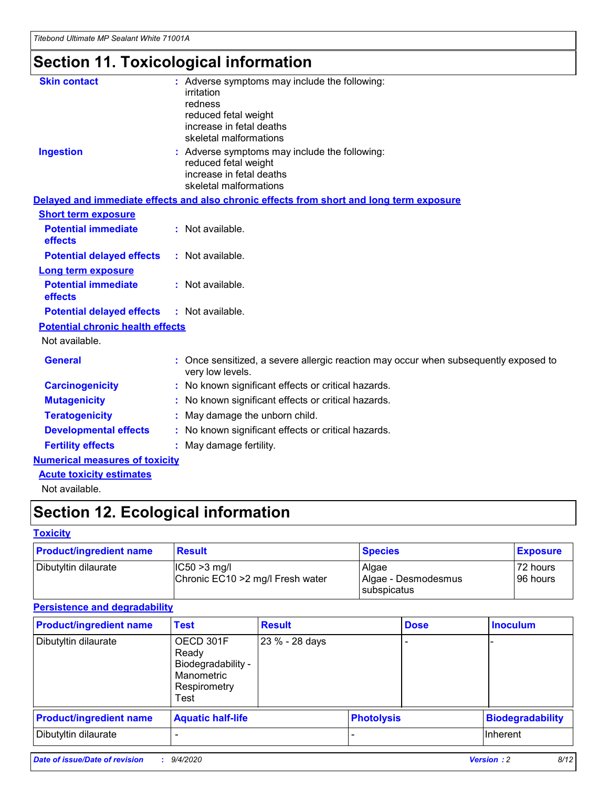# **Section 11. Toxicological information**

| <b>Skin contact</b>                     | : Adverse symptoms may include the following:<br>irritation                                              |
|-----------------------------------------|----------------------------------------------------------------------------------------------------------|
|                                         | redness                                                                                                  |
|                                         | reduced fetal weight                                                                                     |
|                                         | increase in fetal deaths                                                                                 |
|                                         | skeletal malformations                                                                                   |
| <b>Ingestion</b>                        | : Adverse symptoms may include the following:<br>reduced fetal weight                                    |
|                                         | increase in fetal deaths                                                                                 |
|                                         | skeletal malformations                                                                                   |
|                                         | Delayed and immediate effects and also chronic effects from short and long term exposure                 |
| <b>Short term exposure</b>              |                                                                                                          |
| <b>Potential immediate</b><br>effects   | : Not available.                                                                                         |
| <b>Potential delayed effects</b>        | : Not available.                                                                                         |
| Long term exposure                      |                                                                                                          |
| <b>Potential immediate</b>              | : Not available.                                                                                         |
| effects                                 |                                                                                                          |
| <b>Potential delayed effects</b>        | : Not available.                                                                                         |
| <b>Potential chronic health effects</b> |                                                                                                          |
| Not available.                          |                                                                                                          |
| <b>General</b>                          | : Once sensitized, a severe allergic reaction may occur when subsequently exposed to<br>very low levels. |
| <b>Carcinogenicity</b>                  | : No known significant effects or critical hazards.                                                      |
| <b>Mutagenicity</b>                     | No known significant effects or critical hazards.                                                        |
| <b>Teratogenicity</b>                   | May damage the unborn child.                                                                             |
| <b>Developmental effects</b>            | : No known significant effects or critical hazards.                                                      |
| <b>Fertility effects</b>                | : May damage fertility.                                                                                  |
| <b>Numerical measures of toxicity</b>   |                                                                                                          |
| <b>Acute toxicity estimates</b>         |                                                                                                          |
| .                                       |                                                                                                          |

Not available.

# **Section 12. Ecological information**

#### **Toxicity**

| <b>Product/ingredient name</b> | <b>Result</b>                                       | <b>Species</b>               | <b>Exposure</b>       |
|--------------------------------|-----------------------------------------------------|------------------------------|-----------------------|
| Dibutyltin dilaurate           | $ CC50>3$ mg/l<br>Chronic EC10 > 2 mg/l Fresh water | Algae<br>Algae - Desmodesmus | 72 hours<br>196 hours |
|                                |                                                     | <b>I</b> subspicatus         |                       |

#### **Persistence and degradability**

| <b>Product/ingredient name</b> | <b>Test</b>                                                                    | <b>Result</b>  |                   | <b>Dose</b> | <b>Inoculum</b>         |
|--------------------------------|--------------------------------------------------------------------------------|----------------|-------------------|-------------|-------------------------|
| Dibutyltin dilaurate           | OECD 301F<br>Ready<br>Biodegradability -<br>Manometric<br>Respirometry<br>Test | 23 % - 28 days |                   |             |                         |
| <b>Product/ingredient name</b> | <b>Aquatic half-life</b>                                                       |                | <b>Photolysis</b> |             | <b>Biodegradability</b> |
| Dibutyltin dilaurate           |                                                                                |                |                   |             | <b>Inherent</b>         |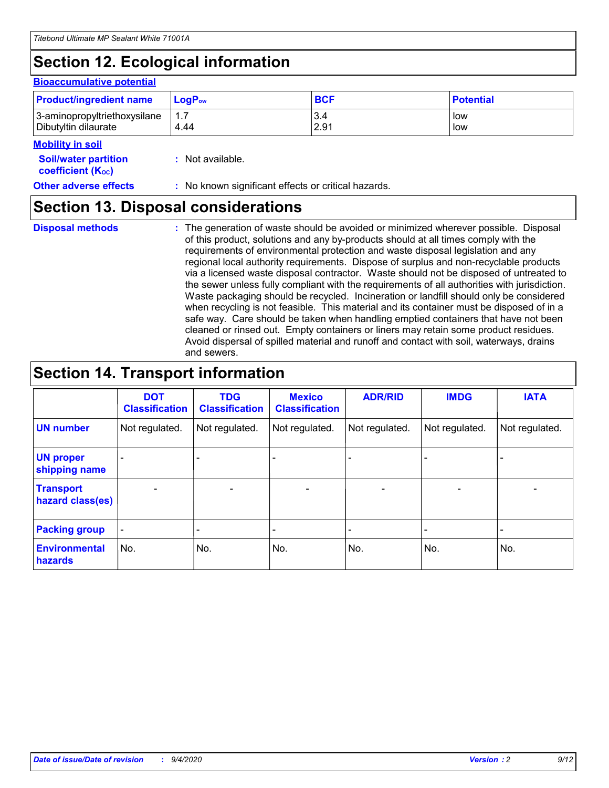# **Section 12. Ecological information**

#### **Bioaccumulative potential**

| <b>Product/ingredient name</b> | <b>LogP</b> <sub>ow</sub> | <b>BCF</b> | <b>Potential</b> |
|--------------------------------|---------------------------|------------|------------------|
| 3-aminopropyltriethoxysilane   | 4.44                      | 3.4        | low              |
| Dibutyltin dilaurate           |                           | 2.91       | low              |

#### **Mobility in soil**

| <b>Soil/water partition</b>           | : Not available. |
|---------------------------------------|------------------|
| <b>coefficient</b> (K <sub>oc</sub> ) |                  |

**Other adverse effects** : No known significant effects or critical hazards.

### **Section 13. Disposal considerations**

**Disposal methods :**

The generation of waste should be avoided or minimized wherever possible. Disposal of this product, solutions and any by-products should at all times comply with the requirements of environmental protection and waste disposal legislation and any regional local authority requirements. Dispose of surplus and non-recyclable products via a licensed waste disposal contractor. Waste should not be disposed of untreated to the sewer unless fully compliant with the requirements of all authorities with jurisdiction. Waste packaging should be recycled. Incineration or landfill should only be considered when recycling is not feasible. This material and its container must be disposed of in a safe way. Care should be taken when handling emptied containers that have not been cleaned or rinsed out. Empty containers or liners may retain some product residues. Avoid dispersal of spilled material and runoff and contact with soil, waterways, drains and sewers.

### **Section 14. Transport information**

|                                      | <b>DOT</b><br><b>Classification</b> | <b>TDG</b><br><b>Classification</b> | <b>Mexico</b><br><b>Classification</b> | <b>ADR/RID</b>           | <b>IMDG</b>              | <b>IATA</b>    |
|--------------------------------------|-------------------------------------|-------------------------------------|----------------------------------------|--------------------------|--------------------------|----------------|
| <b>UN number</b>                     | Not regulated.                      | Not regulated.                      | Not regulated.                         | Not regulated.           | Not regulated.           | Not regulated. |
| <b>UN proper</b><br>shipping name    |                                     |                                     |                                        |                          |                          |                |
| <b>Transport</b><br>hazard class(es) |                                     | $\overline{\phantom{0}}$            | $\qquad \qquad \blacksquare$           | $\overline{\phantom{0}}$ | $\overline{\phantom{0}}$ |                |
| <b>Packing group</b>                 |                                     |                                     |                                        |                          |                          |                |
| <b>Environmental</b><br>hazards      | No.                                 | No.                                 | No.                                    | No.                      | No.                      | No.            |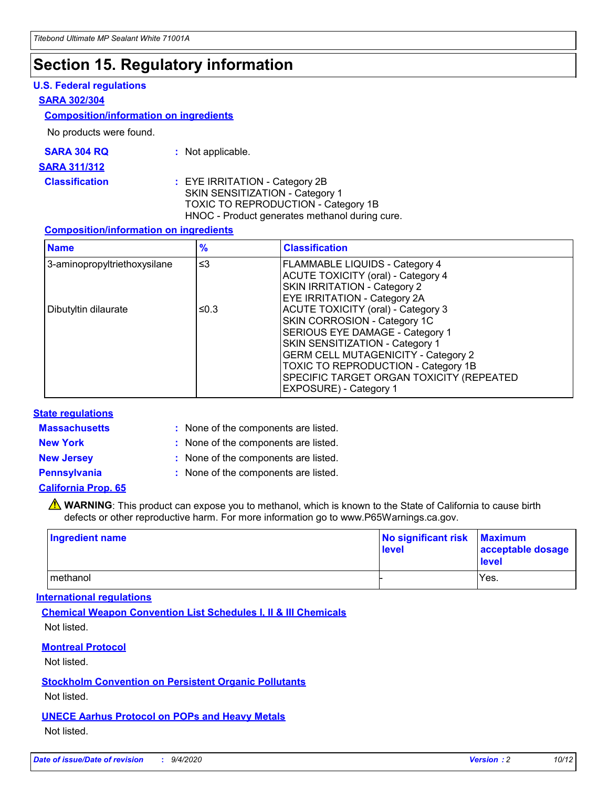### **Section 15. Regulatory information**

#### **U.S. Federal regulations**

#### **SARA 302/304**

#### **Composition/information on ingredients**

No products were found.

| SARA 304 RQ | Not applicable. |
|-------------|-----------------|
|-------------|-----------------|

#### **SARA 311/312**

#### **Classification :** EYE IRRITATION - Category 2B SKIN SENSITIZATION - Category 1 TOXIC TO REPRODUCTION - Category 1B HNOC - Product generates methanol during cure.

#### **Composition/information on ingredients**

| <b>Name</b>                  | $\frac{9}{6}$ | <b>Classification</b>                                                                                                                                                                                                                                                                                      |
|------------------------------|---------------|------------------------------------------------------------------------------------------------------------------------------------------------------------------------------------------------------------------------------------------------------------------------------------------------------------|
| 3-aminopropyltriethoxysilane | $\leq$ 3      | <b>FLAMMABLE LIQUIDS - Category 4</b><br><b>ACUTE TOXICITY (oral) - Category 4</b><br><b>SKIN IRRITATION - Category 2</b><br>EYE IRRITATION - Category 2A                                                                                                                                                  |
| Dibutyltin dilaurate         | ≤0.3          | <b>ACUTE TOXICITY (oral) - Category 3</b><br>SKIN CORROSION - Category 1C<br>SERIOUS EYE DAMAGE - Category 1<br>SKIN SENSITIZATION - Category 1<br><b>GERM CELL MUTAGENICITY - Category 2</b><br>TOXIC TO REPRODUCTION - Category 1B<br>SPECIFIC TARGET ORGAN TOXICITY (REPEATED<br>EXPOSURE) - Category 1 |

#### **State regulations**

**Massachusetts :**

: None of the components are listed.

**New York :** None of the components are listed. **New Jersey :** None of the components are listed.

**Pennsylvania :** None of the components are listed.

#### **California Prop. 65**

WARNING: This product can expose you to methanol, which is known to the State of California to cause birth defects or other reproductive harm. For more information go to www.P65Warnings.ca.gov.

| Ingredient name | No significant risk Maximum<br>level | acceptable dosage<br><b>level</b> |
|-----------------|--------------------------------------|-----------------------------------|
| I methanol      |                                      | Yes.                              |

#### **International regulations**

**Chemical Weapon Convention List Schedules I, II & III Chemicals** Not listed.

#### **Montreal Protocol**

Not listed.

**Stockholm Convention on Persistent Organic Pollutants**

Not listed.

#### **UNECE Aarhus Protocol on POPs and Heavy Metals** Not listed.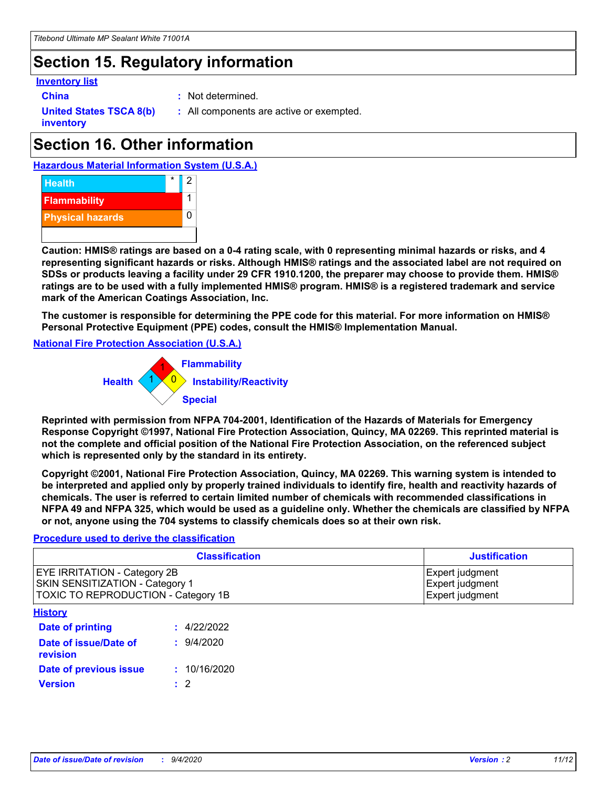### **Section 15. Regulatory information**

#### **Inventory list**

**China :** Not determined.

**United States TSCA 8(b) inventory**

**:** All components are active or exempted.

## **Section 16. Other information**





**Caution: HMIS® ratings are based on a 0-4 rating scale, with 0 representing minimal hazards or risks, and 4 representing significant hazards or risks. Although HMIS® ratings and the associated label are not required on SDSs or products leaving a facility under 29 CFR 1910.1200, the preparer may choose to provide them. HMIS® ratings are to be used with a fully implemented HMIS® program. HMIS® is a registered trademark and service mark of the American Coatings Association, Inc.**

**The customer is responsible for determining the PPE code for this material. For more information on HMIS® Personal Protective Equipment (PPE) codes, consult the HMIS® Implementation Manual.**

**National Fire Protection Association (U.S.A.)**



**Reprinted with permission from NFPA 704-2001, Identification of the Hazards of Materials for Emergency Response Copyright ©1997, National Fire Protection Association, Quincy, MA 02269. This reprinted material is not the complete and official position of the National Fire Protection Association, on the referenced subject which is represented only by the standard in its entirety.**

**Copyright ©2001, National Fire Protection Association, Quincy, MA 02269. This warning system is intended to be interpreted and applied only by properly trained individuals to identify fire, health and reactivity hazards of chemicals. The user is referred to certain limited number of chemicals with recommended classifications in NFPA 49 and NFPA 325, which would be used as a guideline only. Whether the chemicals are classified by NFPA or not, anyone using the 704 systems to classify chemicals does so at their own risk.**

#### **Procedure used to derive the classification**

| <b>Classification</b>                                                                                         | <b>Justification</b>                                  |
|---------------------------------------------------------------------------------------------------------------|-------------------------------------------------------|
| <b>EYE IRRITATION - Category 2B</b><br>SKIN SENSITIZATION - Category 1<br>TOXIC TO REPRODUCTION - Category 1B | Expert judgment<br>Expert judgment<br>Expert judgment |
| <b>History</b>                                                                                                |                                                       |

| <u>.</u>                          |              |
|-----------------------------------|--------------|
| <b>Date of printing</b>           | : 4/22/2022  |
| Date of issue/Date of<br>revision | 9/4/2020     |
| Date of previous issue            | : 10/16/2020 |
| <b>Version</b>                    | $\cdot$ 2    |
|                                   |              |